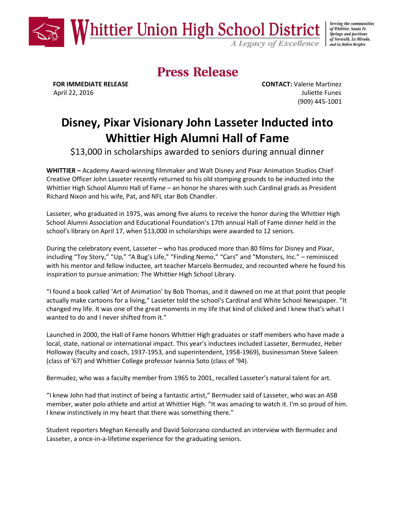

Serving the communities of Whittier, Santa Fe **Springs and portions** of Norwalk, La Mirada, and La Habra Heights

# **Press Release**

 **FOR IMMEDIATE RELEASE CONTACT:** Valerie Martinez April 22, 2016 **Juliette Funes** (909) 445-1001

# **Disney, Pixar Visionary John Lasseter Inducted into Whittier High Alumni Hall of Fame**

\$13,000 in scholarships awarded to seniors during annual dinner

**WHITTIER –** Academy Award-winning filmmaker and Walt Disney and Pixar Animation Studios Chief Creative Officer John Lasseter recently returned to his old stomping grounds to be inducted into the Whittier High School Alumni Hall of Fame – an honor he shares with such Cardinal grads as President Richard Nixon and his wife, Pat, and NFL star Bob Chandler.

Lasseter, who graduated in 1975, was among five alums to receive the honor during the Whittier High School Alumni Association and Educational Foundation's 17th annual Hall of Fame dinner held in the school's library on April 17, when \$13,000 in scholarships were awarded to 12 seniors.

During the celebratory event, Lasseter – who has produced more than 80 films for Disney and Pixar, including "Toy Story," "Up," "A Bug's Life," "Finding Nemo," "Cars" and "Monsters, Inc." – reminisced with his mentor and fellow inductee, art teacher Marcelo Bermudez, and recounted where he found his inspiration to pursue animation: The Whittier High School Library.

"I found a book called 'Art of Animation' by Bob Thomas, and it dawned on me at that point that people actually make cartoons for a living," Lasseter told the school's Cardinal and White School Newspaper. "It changed my life. It was one of the great moments in my life that kind of clicked and I knew that's what I wanted to do and I never shifted from it."

Launched in 2000, the Hall of Fame honors Whittier High graduates or staff members who have made a local, state, national or international impact. This year's inductees included Lasseter, Bermudez, Heber Holloway (faculty and coach, 1937-1953, and superintendent, 1958-1969), businessman Steve Saleen (class of '67) and Whittier College professor Ivannia Soto (class of '94).

Bermudez, who was a faculty member from 1965 to 2001, recalled Lasseter's natural talent for art.

"I knew John had that instinct of being a fantastic artist," Bermudez said of Lasseter, who was an ASB member, water polo athlete and artist at Whittier High. "It was amazing to watch it. I'm so proud of him. I knew instinctively in my heart that there was something there."

Student reporters Meghan Keneally and David Solorzano conducted an interview with Bermudez and Lasseter, a once-in-a-lifetime experience for the graduating seniors.